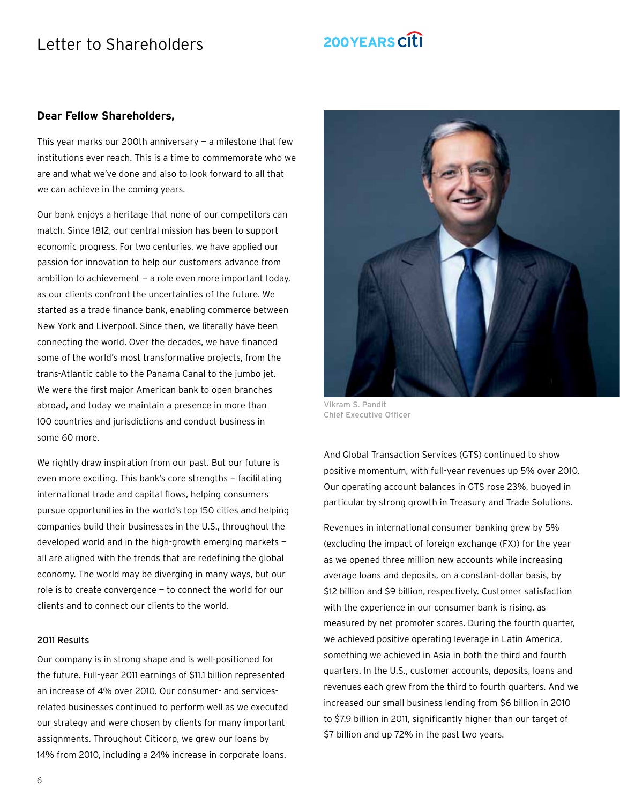## Letter to Shareholders

# 200YEARS CITI

### **Dear Fellow Shareholders,**

This year marks our 200th anniversary  $-$  a milestone that few institutions ever reach. This is a time to commemorate who we are and what we've done and also to look forward to all that we can achieve in the coming years.

Our bank enjoys a heritage that none of our competitors can match. Since 1812, our central mission has been to support economic progress. For two centuries, we have applied our passion for innovation to help our customers advance from ambition to achievement  $-$  a role even more important today, as our clients confront the uncertainties of the future. We started as a trade finance bank, enabling commerce between New York and Liverpool. Since then, we literally have been connecting the world. Over the decades, we have financed some of the world's most transformative projects, from the trans-Atlantic cable to the Panama Canal to the jumbo jet. We were the first major American bank to open branches abroad, and today we maintain a presence in more than 100 countries and jurisdictions and conduct business in some 60 more.

We rightly draw inspiration from our past. But our future is even more exciting. This bank's core strengths — facilitating international trade and capital flows, helping consumers pursue opportunities in the world's top 150 cities and helping companies build their businesses in the U.S., throughout the developed world and in the high-growth emerging markets all are aligned with the trends that are redefining the global economy. The world may be diverging in many ways, but our role is to create convergence — to connect the world for our clients and to connect our clients to the world.

#### 2011 Results

Our company is in strong shape and is well-positioned for the future. Full-year 2011 earnings of \$11.1 billion represented an increase of 4% over 2010. Our consumer- and servicesrelated businesses continued to perform well as we executed our strategy and were chosen by clients for many important assignments. Throughout Citicorp, we grew our loans by 14% from 2010, including a 24% increase in corporate loans.



Vikram S. Pandit Chief Executive Officer

And Global Transaction Services (GTS) continued to show positive momentum, with full-year revenues up 5% over 2010. Our operating account balances in GTS rose 23%, buoyed in particular by strong growth in Treasury and Trade Solutions.

Revenues in international consumer banking grew by 5% (excluding the impact of foreign exchange (FX)) for the year as we opened three million new accounts while increasing average loans and deposits, on a constant-dollar basis, by \$12 billion and \$9 billion, respectively. Customer satisfaction with the experience in our consumer bank is rising, as measured by net promoter scores. During the fourth quarter, we achieved positive operating leverage in Latin America, something we achieved in Asia in both the third and fourth quarters. In the U.S., customer accounts, deposits, loans and revenues each grew from the third to fourth quarters. And we increased our small business lending from \$6 billion in 2010 to \$7.9 billion in 2011, significantly higher than our target of \$7 billion and up 72% in the past two years.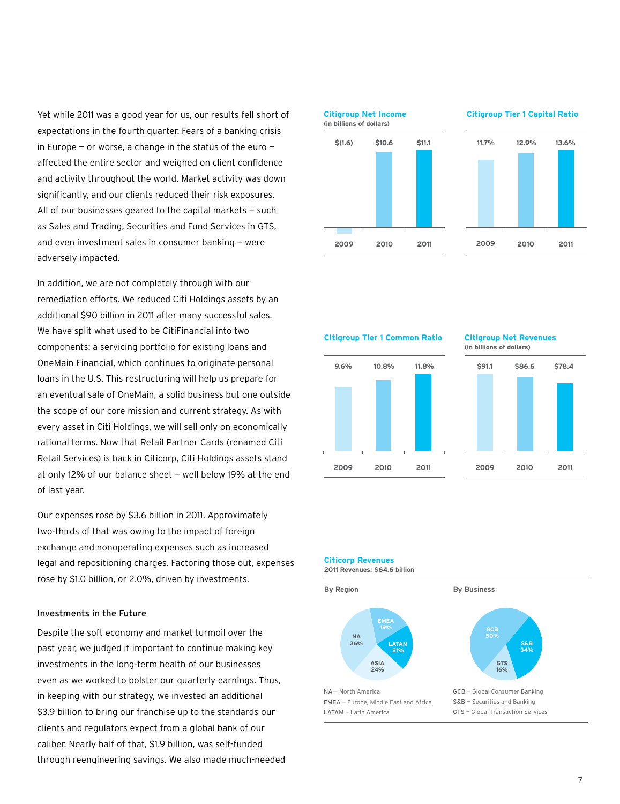Yet while 2011 was a good year for us, our results fell short of expectations in the fourth quarter. Fears of a banking crisis in Europe – or worse, a change in the status of the euro  $$ affected the entire sector and weighed on client confidence and activity throughout the world. Market activity was down significantly, and our clients reduced their risk exposures. All of our businesses geared to the capital markets  $-$  such as Sales and Trading, Securities and Fund Services in GTS, and even investment sales in consumer banking — were adversely impacted.

In addition, we are not completely through with our remediation efforts. We reduced Citi Holdings assets by an additional \$90 billion in 2011 after many successful sales. We have split what used to be CitiFinancial into two components: a servicing portfolio for existing loans and OneMain Financial, which continues to originate personal **11.7% 12.9% 13.6% \$(1.6) \$10.6 \$11.1** loans in the U.S. This restructuring will help us prepare for an eventual sale of OneMain, a solid business but one outside the scope of our core mission and current strategy. As with every asset in Citi Holdings, we will sell only on economically rational terms. Now that Retail Partner Cards (renamed Citi Retail Services) is back in Citicorp, Citi Holdings assets stand at only 12% of our balance sheet — well below 19% at the end **2009 2010 2011 2009 2010 2011** of last year. **Citigroup Tier 1 Capital Ratio (in billions of dollars)**

Our expenses rose by \$3.6 billion in 2011. Approximately two-thirds of that was owing to the impact of foreign exchange and nonoperating expenses such as increased legal and repositioning charges. Factoring those out, expenses rose by \$1.0 billion, or 2.0%, driven by investments. **(in billions of dollars)**

#### Investments in the Future

Despite the soft economy and market turmoil over the past year, we judged it important to continue making key investments in the long-term health of our businesses even as we worked to bolster our quarterly earnings. Thus, in keeping with our strategy, we invested an additional **2009 2010 2011 2009 2010 2011** \$3.9 billion to bring our franchise up to the standards our clients and regulators expect from a global bank of our caliber. Nearly half of that, \$1.9 billion, was self-funded through reengineering savings. We also made much-needed



**Citigroup Tier 1 Common Ratio**

**2009 2010 2011**

# **9.6% 10.8% 11.8%**

## **Citigroup Net Revenues**



**2009 2010 2011**

**Citicorp Revenues**

**2011 Revenues: \$64.6 billion**

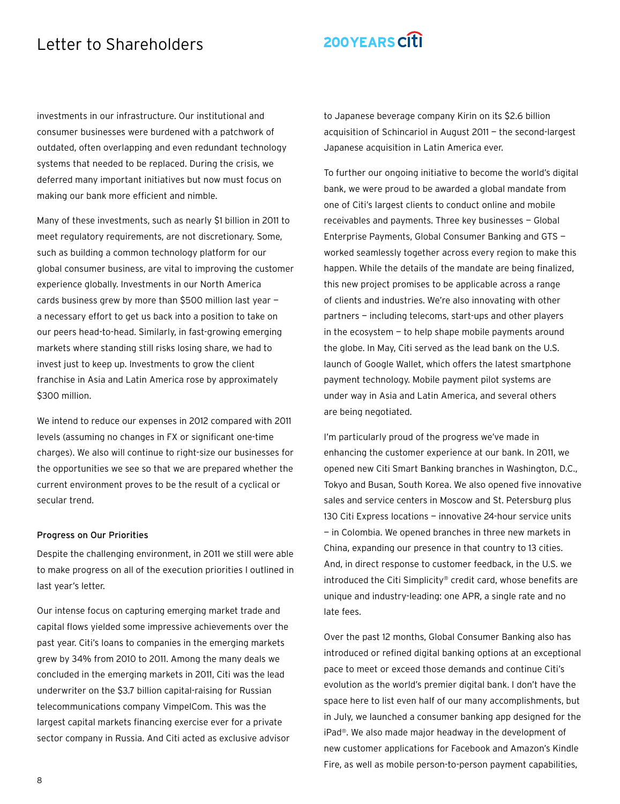## Letter to Shareholders

# 200YEARS CITI

investments in our infrastructure. Our institutional and consumer businesses were burdened with a patchwork of outdated, often overlapping and even redundant technology systems that needed to be replaced. During the crisis, we deferred many important initiatives but now must focus on making our bank more efficient and nimble.

Many of these investments, such as nearly \$1 billion in 2011 to meet regulatory requirements, are not discretionary. Some, such as building a common technology platform for our global consumer business, are vital to improving the customer experience globally. Investments in our North America cards business grew by more than \$500 million last year a necessary effort to get us back into a position to take on our peers head-to-head. Similarly, in fast-growing emerging markets where standing still risks losing share, we had to invest just to keep up. Investments to grow the client franchise in Asia and Latin America rose by approximately \$300 million.

We intend to reduce our expenses in 2012 compared with 2011 levels (assuming no changes in FX or significant one-time charges). We also will continue to right-size our businesses for the opportunities we see so that we are prepared whether the current environment proves to be the result of a cyclical or secular trend.

#### Progress on Our Priorities

Despite the challenging environment, in 2011 we still were able to make progress on all of the execution priorities I outlined in last year's letter.

Our intense focus on capturing emerging market trade and capital flows yielded some impressive achievements over the past year. Citi's loans to companies in the emerging markets grew by 34% from 2010 to 2011. Among the many deals we concluded in the emerging markets in 2011, Citi was the lead underwriter on the \$3.7 billion capital-raising for Russian telecommunications company VimpelCom. This was the largest capital markets financing exercise ever for a private sector company in Russia. And Citi acted as exclusive advisor to Japanese beverage company Kirin on its \$2.6 billion acquisition of Schincariol in August 2011 — the second-largest Japanese acquisition in Latin America ever.

To further our ongoing initiative to become the world's digital bank, we were proud to be awarded a global mandate from one of Citi's largest clients to conduct online and mobile receivables and payments. Three key businesses — Global Enterprise Payments, Global Consumer Banking and GTS worked seamlessly together across every region to make this happen. While the details of the mandate are being finalized, this new project promises to be applicable across a range of clients and industries. We're also innovating with other partners — including telecoms, start-ups and other players in the ecosystem  $-$  to help shape mobile payments around the globe. In May, Citi served as the lead bank on the U.S. launch of Google Wallet, which offers the latest smartphone payment technology. Mobile payment pilot systems are under way in Asia and Latin America, and several others are being negotiated.

I'm particularly proud of the progress we've made in enhancing the customer experience at our bank. In 2011, we opened new Citi Smart Banking branches in Washington, D.C., Tokyo and Busan, South Korea. We also opened five innovative sales and service centers in Moscow and St. Petersburg plus 130 Citi Express locations — innovative 24-hour service units — in Colombia. We opened branches in three new markets in China, expanding our presence in that country to 13 cities. And, in direct response to customer feedback, in the U.S. we introduced the Citi Simplicity® credit card, whose benefits are unique and industry-leading: one APR, a single rate and no late fees.

Over the past 12 months, Global Consumer Banking also has introduced or refined digital banking options at an exceptional pace to meet or exceed those demands and continue Citi's evolution as the world's premier digital bank. I don't have the space here to list even half of our many accomplishments, but in July, we launched a consumer banking app designed for the iPad®. We also made major headway in the development of new customer applications for Facebook and Amazon's Kindle Fire, as well as mobile person-to-person payment capabilities,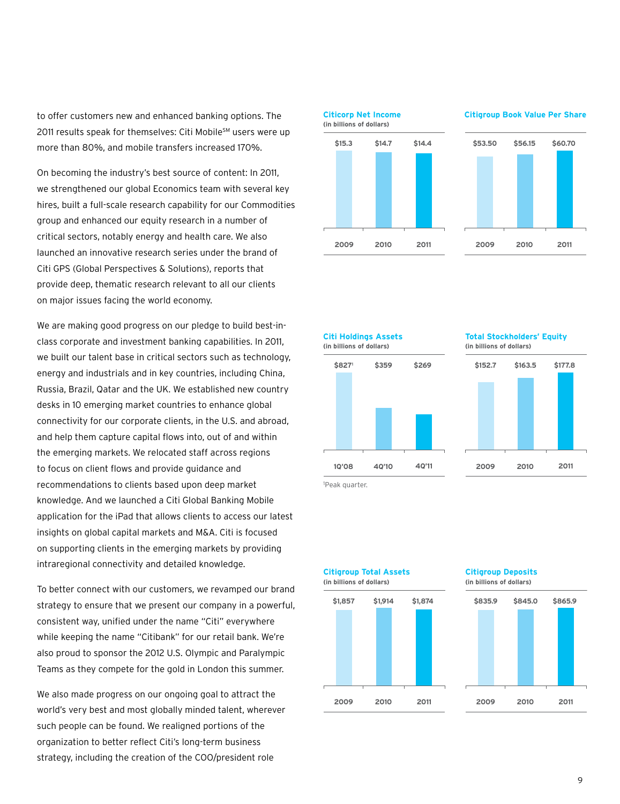to offer customers new and enhanced banking options. The 2011 results speak for themselves: Citi Mobile<sup>sM</sup> users were up more than 80%, and mobile transfers increased 170%. **By Region By Business**

On becoming the industry's best source of content: In 2011, we strengthened our global Economics team with several key hires, built a full-scale research capability for our Commodities **S&B 34% 36% LATAM 21%** group and enhanced our equity research in a number of **GTS 16% ASIA 24%** critical sectors, notably energy and health care. We also launched an innovative research series under the brand of Citi GPS (Global Perspectives & Solutions), reports that provide deep, thematic research relevant to all our clients on major issues facing the world economy. Grisenes and Banking NA — North America Equipment and all introduced to

We are making good progress on our pledge to build best-inclass corporate and investment banking capabilities. In 2011, we built our talent base in critical sectors such as technology, energy and industrials and in key countries, including China, **\$15.3 \$14.7 \$14.4 \$53.50 \$56.15 \$60.70** Russia, Brazil, Qatar and the UK. We established new country desks in 10 emerging market countries to enhance global connectivity for our corporate clients, in the U.S. and abroad, and help them capture capital flows into, out of and within the emerging markets. We relocated staff across regions to focus on client flows and provide guidance and **2009 2010 2011 2009 2010 2011** recommendations to clients based upon deep market knowledge. And we launched a Citi Global Banking Mobile application for the iPad that allows clients to access our latest insights on global capital markets and M&A. Citi is focused on supporting clients in the emerging markets by providing intraregional connectivity and detailed knowledge. **(in billions of dollars) Citigroup Book Value Per Share**

To better connect with our customers, we revamped our brand strategy to ensure that we present our company in a powerful, consistent way, unified under the name "Citi" everywhere while keeping the name "Citibank" for our retail bank. We're also proud to sponsor the 2012 U.S. Olympic and Paralympic Teams as they compete for the gold in London this summer.

We also made progress on our ongoing goal to attract the world's very best and most globally minded talent, wherever such people can be found. We realigned portions of the organization to better reflect Citi's long-term business strategy, including the creation of the COO/president role



**1Q'08 4Q'10 4Q'11 \$8271 \$359 \$269 Citi Holdings Assets (in billions of dollars)**

#### **Total Stockholders' Equity (in billions of dollars)**



**2009 2010 2011**

1 Peak quarter.



#### **Citigroup Deposits (in billions of dollars)**

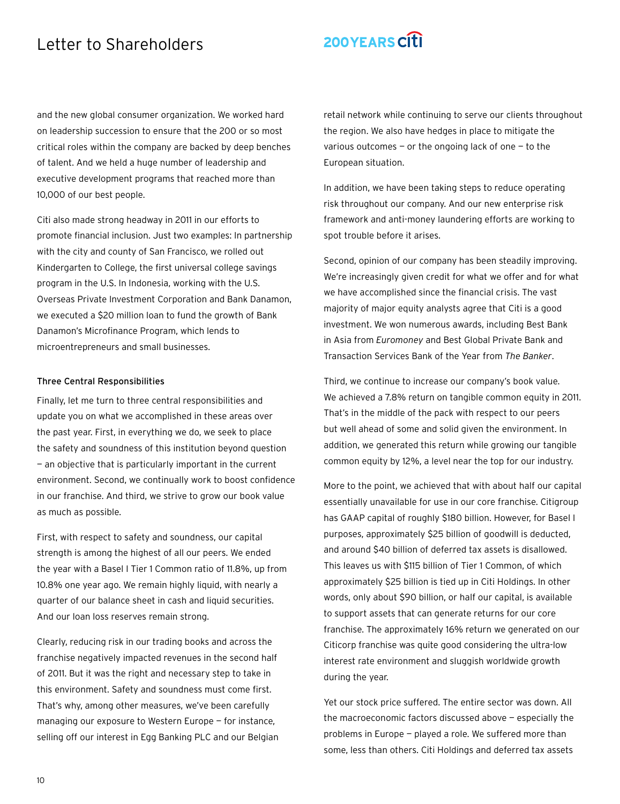## Letter to Shareholders

## 200YEARS CITI

and the new global consumer organization. We worked hard on leadership succession to ensure that the 200 or so most critical roles within the company are backed by deep benches of talent. And we held a huge number of leadership and executive development programs that reached more than 10,000 of our best people.

Citi also made strong headway in 2011 in our efforts to promote financial inclusion. Just two examples: In partnership with the city and county of San Francisco, we rolled out Kindergarten to College, the first universal college savings program in the U.S. In Indonesia, working with the U.S. Overseas Private Investment Corporation and Bank Danamon, we executed a \$20 million loan to fund the growth of Bank Danamon's Microfinance Program, which lends to microentrepreneurs and small businesses.

#### Three Central Responsibilities

Finally, let me turn to three central responsibilities and update you on what we accomplished in these areas over the past year. First, in everything we do, we seek to place the safety and soundness of this institution beyond question — an objective that is particularly important in the current environment. Second, we continually work to boost confidence in our franchise. And third, we strive to grow our book value as much as possible.

First, with respect to safety and soundness, our capital strength is among the highest of all our peers. We ended the year with a Basel I Tier 1 Common ratio of 11.8%, up from 10.8% one year ago. We remain highly liquid, with nearly a quarter of our balance sheet in cash and liquid securities. And our loan loss reserves remain strong.

Clearly, reducing risk in our trading books and across the franchise negatively impacted revenues in the second half of 2011. But it was the right and necessary step to take in this environment. Safety and soundness must come first. That's why, among other measures, we've been carefully managing our exposure to Western Europe — for instance, selling off our interest in Egg Banking PLC and our Belgian retail network while continuing to serve our clients throughout the region. We also have hedges in place to mitigate the various outcomes  $-$  or the ongoing lack of one  $-$  to the European situation.

In addition, we have been taking steps to reduce operating risk throughout our company. And our new enterprise risk framework and anti-money laundering efforts are working to spot trouble before it arises.

Second, opinion of our company has been steadily improving. We're increasingly given credit for what we offer and for what we have accomplished since the financial crisis. The vast majority of major equity analysts agree that Citi is a good investment. We won numerous awards, including Best Bank in Asia from *Euromoney* and Best Global Private Bank and Transaction Services Bank of the Year from *The Banker*.

Third, we continue to increase our company's book value. We achieved a 7.8% return on tangible common equity in 2011. That's in the middle of the pack with respect to our peers but well ahead of some and solid given the environment. In addition, we generated this return while growing our tangible common equity by 12%, a level near the top for our industry.

More to the point, we achieved that with about half our capital essentially unavailable for use in our core franchise. Citigroup has GAAP capital of roughly \$180 billion. However, for Basel I purposes, approximately \$25 billion of goodwill is deducted, and around \$40 billion of deferred tax assets is disallowed. This leaves us with \$115 billion of Tier 1 Common, of which approximately \$25 billion is tied up in Citi Holdings. In other words, only about \$90 billion, or half our capital, is available to support assets that can generate returns for our core franchise. The approximately 16% return we generated on our Citicorp franchise was quite good considering the ultra-low interest rate environment and sluggish worldwide growth during the year.

Yet our stock price suffered. The entire sector was down. All the macroeconomic factors discussed above — especially the problems in Europe — played a role. We suffered more than some, less than others. Citi Holdings and deferred tax assets